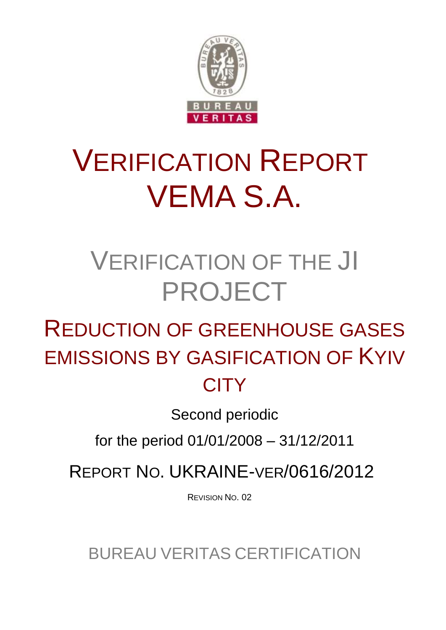

# VERIFICATION REPORT VEMA S.A.

## VERIFICATION OF THE JI PROJECT

## REDUCTION OF GREENHOUSE GASES EMISSIONS BY GASIFICATION OF KYIV **CITY**

Second periodic

for the period 01/01/2008 – 31/12/2011

REPORT NO. UKRAINE-VER/0616/2012

REVISION NO. 02

BUREAU VERITAS CERTIFICATION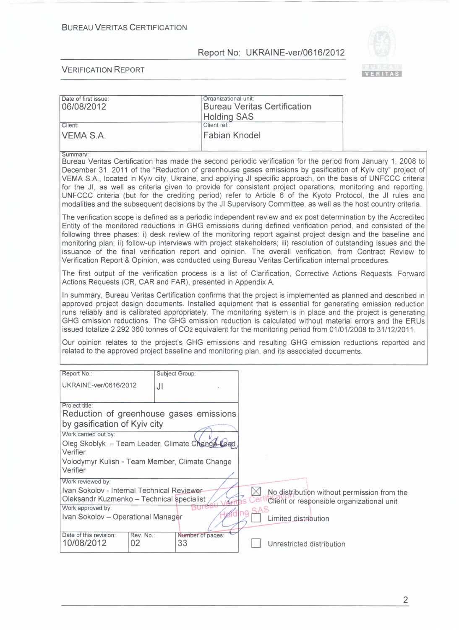

| Date of first issue:<br>06/08/2012                                                                                                                                                                                                                                                                                                                                                                                                                                                                                                                                                                                                                                                                      | Organizational unit:<br><b>Holding SAS</b> |          | <b>Bureau Veritas Certification</b>                                                                              |  |
|---------------------------------------------------------------------------------------------------------------------------------------------------------------------------------------------------------------------------------------------------------------------------------------------------------------------------------------------------------------------------------------------------------------------------------------------------------------------------------------------------------------------------------------------------------------------------------------------------------------------------------------------------------------------------------------------------------|--------------------------------------------|----------|------------------------------------------------------------------------------------------------------------------|--|
| Client:                                                                                                                                                                                                                                                                                                                                                                                                                                                                                                                                                                                                                                                                                                 | Client ref.:                               |          |                                                                                                                  |  |
| VEMA S.A.                                                                                                                                                                                                                                                                                                                                                                                                                                                                                                                                                                                                                                                                                               | <b>Fabian Knodel</b>                       |          |                                                                                                                  |  |
| Summary:<br>Bureau Veritas Certification has made the second periodic verification for the period from January 1, 2008 to<br>December 31, 2011 of the "Reduction of greenhouse gases emissions by gasification of Kyiv city" project of<br>VEMA S.A., located in Kyiv city, Ukraine, and applying JI specific approach, on the basis of UNFCCC criteria<br>for the JI, as well as criteria given to provide for consistent project operations, monitoring and reporting.<br>UNFCCC criteria (but for the crediting period) refer to Article 6 of the Kyoto Protocol, the JI rules and<br>modalities and the subsequent decisions by the JI Supervisory Committee, as well as the host country criteria. |                                            |          |                                                                                                                  |  |
| The verification scope is defined as a periodic independent review and ex post determination by the Accredited<br>Entity of the monitored reductions in GHG emissions during defined verification period, and consisted of the<br>following three phases: i) desk review of the monitoring report against project design and the baseline and<br>monitoring plan; ii) follow-up interviews with project stakeholders; iii) resolution of outstanding issues and the<br>issuance of the final verification report and opinion. The overall verification, from Contract Review to<br>Verification Report & Opinion, was conducted using Bureau Veritas Certification internal procedures.                 |                                            |          |                                                                                                                  |  |
| The first output of the verification process is a list of Clarification, Corrective Actions Requests, Forward<br>Actions Requests (CR, CAR and FAR), presented in Appendix A.                                                                                                                                                                                                                                                                                                                                                                                                                                                                                                                           |                                            |          |                                                                                                                  |  |
| In summary, Bureau Veritas Certification confirms that the project is implemented as planned and described in<br>approved project design documents. Installed equipment that is essential for generating emission reduction<br>runs reliably and is calibrated appropriately. The monitoring system is in place and the project is generating<br>GHG emission reductions. The GHG emission reduction is calculated without material errors and the ERUs<br>issued totalize 2 292 360 tonnes of CO <sub>2</sub> equivalent for the monitoring period from 01/01/2008 to 31/12/2011.                                                                                                                      |                                            |          |                                                                                                                  |  |
| Our opinion relates to the project's GHG emissions and resulting GHG emission reductions reported and<br>related to the approved project baseline and monitoring plan, and its associated documents.                                                                                                                                                                                                                                                                                                                                                                                                                                                                                                    |                                            |          |                                                                                                                  |  |
| Report No.:                                                                                                                                                                                                                                                                                                                                                                                                                                                                                                                                                                                                                                                                                             | Subject Group:                             |          |                                                                                                                  |  |
| UKRAINE-ver/0616/2012<br>JI                                                                                                                                                                                                                                                                                                                                                                                                                                                                                                                                                                                                                                                                             |                                            |          |                                                                                                                  |  |
| Project title:<br>Reduction of greenhouse gases emissions                                                                                                                                                                                                                                                                                                                                                                                                                                                                                                                                                                                                                                               |                                            |          |                                                                                                                  |  |
| by gasification of Kyiv city                                                                                                                                                                                                                                                                                                                                                                                                                                                                                                                                                                                                                                                                            |                                            |          |                                                                                                                  |  |
| Work carried out by:<br>Oleg Skoblyk - Team Leader, Climate Change Lead<br>Verifier                                                                                                                                                                                                                                                                                                                                                                                                                                                                                                                                                                                                                     |                                            |          |                                                                                                                  |  |
| Volodymyr Kulish - Team Member, Climate Change<br>Verifier                                                                                                                                                                                                                                                                                                                                                                                                                                                                                                                                                                                                                                              |                                            |          |                                                                                                                  |  |
| Work reviewed by:<br>Ivan Sokolov - Internal Technical Reviewer-<br>Oleksandr Kuzmenko - Technical specialist<br>Work approved by:<br>Ivan Sokolov - Operational Manager                                                                                                                                                                                                                                                                                                                                                                                                                                                                                                                                | Bure                                       | $\times$ | No distribution without permission from the<br>Client or responsible organizational unit<br>Limited distribution |  |
| Date of this revision:<br>Rev. No.:<br>10/08/2012<br>02                                                                                                                                                                                                                                                                                                                                                                                                                                                                                                                                                                                                                                                 | Number of pages:<br>33                     |          | Unrestricted distribution                                                                                        |  |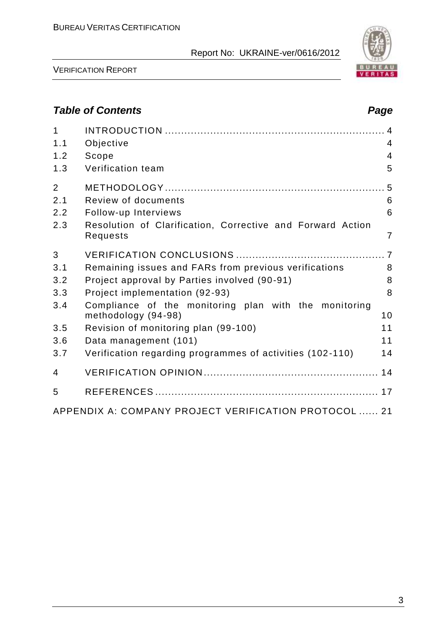

VERIFICATION REPORT

## *Table of Contents Page*

| $\mathbf{1}$<br>1.1 | Objective                                                                    | $\overline{4}$ |
|---------------------|------------------------------------------------------------------------------|----------------|
| 1.2                 | Scope                                                                        | $\overline{4}$ |
| 1.3                 | Verification team                                                            | 5              |
| $\overline{2}$      |                                                                              |                |
| 2.1                 | Review of documents                                                          | 6              |
| 2.2                 | Follow-up Interviews                                                         | 6              |
| 2.3                 | Resolution of Clarification, Corrective and Forward Action<br>Requests       | 7              |
| 3                   |                                                                              |                |
| 3.1                 | Remaining issues and FARs from previous verifications                        | 8              |
| 3.2                 | Project approval by Parties involved (90-91)                                 | 8              |
| 3.3                 | Project implementation (92-93)                                               | 8              |
| 3.4                 | Compliance of the monitoring plan with the monitoring<br>methodology (94-98) | 10             |
| 3.5                 | Revision of monitoring plan (99-100)                                         | 11             |
| 3.6                 | Data management (101)                                                        | 11             |
| 3.7                 | Verification regarding programmes of activities (102-110)                    | 14             |
| $\overline{4}$      |                                                                              |                |
| 5                   |                                                                              |                |
|                     | APPENDIX A: COMPANY PROJECT VERIFICATION PROTOCOL  21                        |                |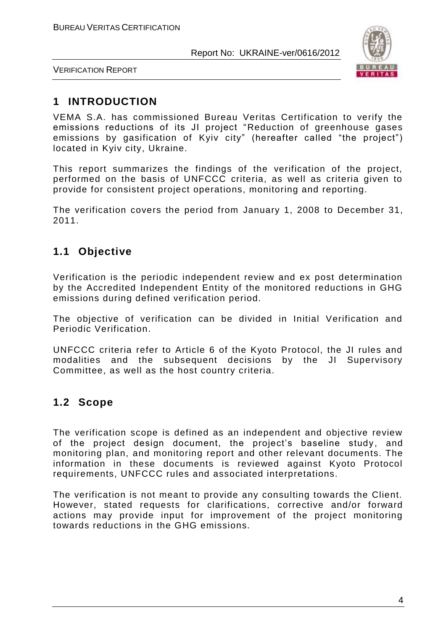

VERIFICATION REPORT

## **1 INTRODUCTION**

VEMA S.A. has commissioned Bureau Veritas Certification to verify the emissions reductions of its JI project "Reduction of greenhouse gases emissions by gasification of Kyiv city" (hereafter called "the project") located in Kyiv city, Ukraine.

This report summarizes the findings of the verification of the project, performed on the basis of UNFCCC criteria, as well as criteria given to provide for consistent project operations, monitoring and reporting.

The verification covers the period from January 1, 2008 to December 31, 2011.

## **1.1 Objective**

Verification is the periodic independent review and ex post determination by the Accredited Independent Entity of the monitored reductions in GHG emissions during defined verification period.

The objective of verification can be divided in Initial Verification and Periodic Verification.

UNFCCC criteria refer to Article 6 of the Kyoto Protocol, the JI rules and modalities and the subsequent decisions by the JI Supervisory Committee, as well as the host country criteria.

## **1.2 Scope**

The verification scope is defined as an independent and objective review of the project design document, the project's baseline study, and monitoring plan, and monitoring report and other relevant documents. The information in these documents is reviewed against Kyoto Protocol requirements, UNFCCC rules and associated interpretations.

The verification is not meant to provide any consulting towards the Client. However, stated requests for clarifications, corrective and/or forward actions may provide input for improvement of the project monitoring towards reductions in the GHG emissions.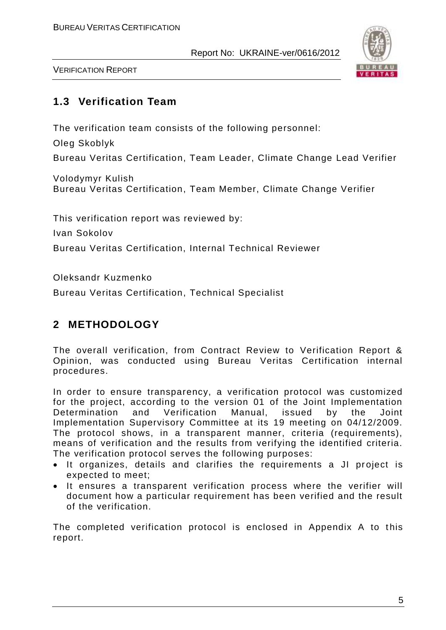

VERIFICATION REPORT

## **1.3 Verification Team**

The verification team consists of the following personnel:

Oleg Skoblyk

Bureau Veritas Certification, Team Leader, Climate Change Lead Verifier

Volodymyr Kulish Bureau Veritas Certification, Team Member, Climate Change Verifier

This verification report was reviewed by:

Ivan Sokolov

Bureau Veritas Certification, Internal Technical Reviewer

Oleksandr Kuzmenko

Bureau Veritas Certification, Technical Specialist

## **2 METHODOLOGY**

The overall verification, from Contract Review to Verification Report & Opinion, was conducted using Bureau Veritas Certification internal procedures.

In order to ensure transparency, a verification protocol was customized for the project, according to the version 01 of the Joint Implementation Determination and Verification Manual, issued by the Joint Implementation Supervisory Committee at its 19 meeting on 04/12/2009. The protocol shows, in a transparent manner, criteria (requirements), means of verification and the results from verifying the identified criteria. The verification protocol serves the following purposes:

- It organizes, details and clarifies the requirements a JI project is expected to meet;
- It ensures a transparent verification process where the verifier will document how a particular requirement has been verified and the result of the verification.

The completed verification protocol is enclosed in Appendix A to this report.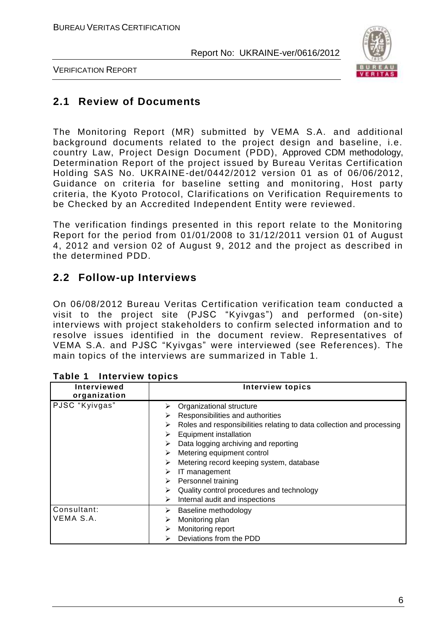

VERIFICATION REPORT

## **2.1 Review of Documents**

The Monitoring Report (MR) submitted by VEMA S.A. and additional background documents related to the project design and baseline, i.e. country Law, Project Design Document (PDD), Approved CDM methodology, Determination Report of the project issued by Bureau Veritas Certification Holding SAS No. UKRAINE-det/0442/2012 version 01 as of 06/06/2012, Guidance on criteria for baseline setting and monitoring, Host party criteria, the Kyoto Protocol, Clarifications on Verification Requirements to be Checked by an Accredited Independent Entity were reviewed.

The verification findings presented in this report relate to the Monitoring Report for the period from 01/01/2008 to 31/12/2011 version 01 of August 4, 2012 and version 02 of August 9, 2012 and the project as described in the determined PDD.

## **2.2 Follow-up Interviews**

On 06/08/2012 Bureau Veritas Certification verification team conducted a visit to the project site (PJSC "Kyivgas") and performed (on-site) interviews with project stakeholders to confirm selected information and to resolve issues identified in the document review. Representatives of VEMA S.A. and PJSC "Kyivgas" were interviewed (see References). The main topics of the interviews are summarized in Table 1.

| <b>Interviewed</b><br>organization | <b>Interview topics</b>                                                    |  |  |
|------------------------------------|----------------------------------------------------------------------------|--|--|
| PJSC "Kyivgas"                     | Organizational structure<br>⋗                                              |  |  |
|                                    | Responsibilities and authorities<br>⋗                                      |  |  |
|                                    | Roles and responsibilities relating to data collection and processing<br>⋗ |  |  |
|                                    | <b>Equipment installation</b><br>⋗                                         |  |  |
|                                    | Data logging archiving and reporting<br>⋗                                  |  |  |
|                                    | Metering equipment control<br>⋗                                            |  |  |
|                                    | Metering record keeping system, database<br>⋗                              |  |  |
|                                    | IT management<br>⋗                                                         |  |  |
|                                    | Personnel training<br>➤                                                    |  |  |
|                                    | Quality control procedures and technology<br>⋗                             |  |  |
|                                    | Internal audit and inspections<br>⋗                                        |  |  |
| Consultant:                        | Baseline methodology<br>➤                                                  |  |  |
| VEMA S.A.                          | Monitoring plan                                                            |  |  |
|                                    | Monitoring report<br>⋗                                                     |  |  |
|                                    | Deviations from the PDD<br>⋗                                               |  |  |

#### **Table 1 Interview topics**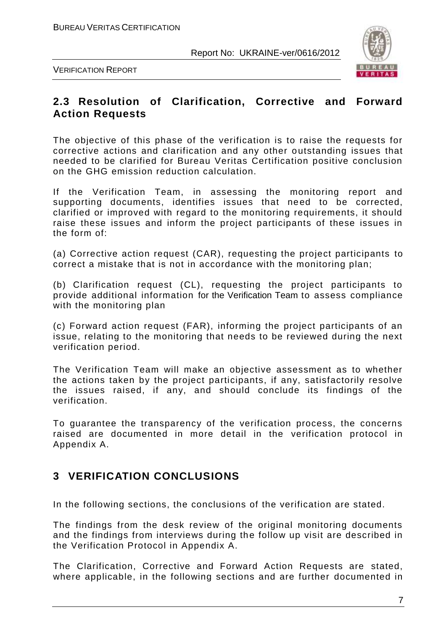

VERIFICATION REPORT

## **2.3 Resolution of Clarification, Corrective and Forward Action Requests**

The objective of this phase of the verification is to raise the requests for corrective actions and clarification and any other outstanding issues that needed to be clarified for Bureau Veritas Certification positive conclusion on the GHG emission reduction calculation.

If the Verification Team, in assessing the monitoring report and supporting documents, identifies issues that need to be corrected, clarified or improved with regard to the monitoring requirements, it should raise these issues and inform the project participants of these issues in the form of:

(a) Corrective action request (CAR), requesting the project participants to correct a mistake that is not in accordance with the monitoring plan;

(b) Clarification request (CL), requesting the project participants to provide additional information for the Verification Team to assess compliance with the monitoring plan

(c) Forward action request (FAR), informing the project participants of an issue, relating to the monitoring that needs to be reviewed during the next verification period.

The Verification Team will make an objective assessment as to whether the actions taken by the project participants, if any, satisfactorily resolve the issues raised, if any, and should conclude its findings of the verification.

To guarantee the transparency of the verification process, the concerns raised are documented in more detail in the verification protocol in Appendix A.

## **3 VERIFICATION CONCLUSIONS**

In the following sections, the conclusions of the verification are stated.

The findings from the desk review of the original monitoring documents and the findings from interviews during the follow up visit are described in the Verification Protocol in Appendix A.

The Clarification, Corrective and Forward Action Requests are stated, where applicable, in the following sections and are further documented in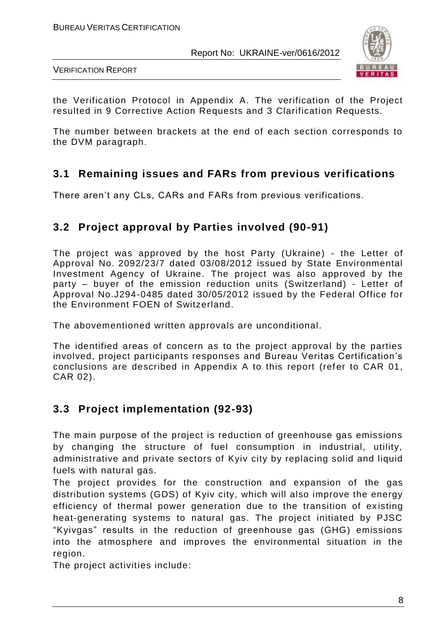

VERIFICATION REPORT

the Verification Protocol in Appendix A. The verification of the Project resulted in 9 Corrective Action Requests and 3 Clarification Requests.

The number between brackets at the end of each section corresponds to the DVM paragraph.

## **3.1 Remaining issues and FARs from previous verifications**

There aren't any CLs, CARs and FARs from previous verifications.

## **3.2 Project approval by Parties involved (90-91)**

The project was approved by the host Party (Ukraine) - the Letter of Approval No. 2092/23/7 dated 03/08/2012 issued by State Environmental Investment Agency of Ukraine. The project was also approved by the party – buyer of the emission reduction units (Switzerland) - Letter of Approval No.J294-0485 dated 30/05/2012 issued by the Federal Office for the Environment FOEN of Switzerland.

The abovementioned written approvals are unconditional.

The identified areas of concern as to the project approval by the parties involved, project participants responses and Bureau Veritas Certification's conclusions are described in Appendix A to this report (refer to CAR 01, CAR 02).

## **3.3 Project implementation (92-93)**

The main purpose of the project is reduction of greenhouse gas emissions by changing the structure of fuel consumption in industrial, utility, administrative and private sectors of Kyiv city by replacing solid and liquid fuels with natural gas.

The project provides for the construction and expansion of the gas distribution systems (GDS) of Kyiv city, which will also improve the energy efficiency of thermal power generation due to the transition of existing heat-generating systems to natural gas. The project initiated by PJSC "Kyivgas" results in the reduction of greenhouse gas (GHG) emissions into the atmosphere and improves the environmental situation in the region.

The project activities include: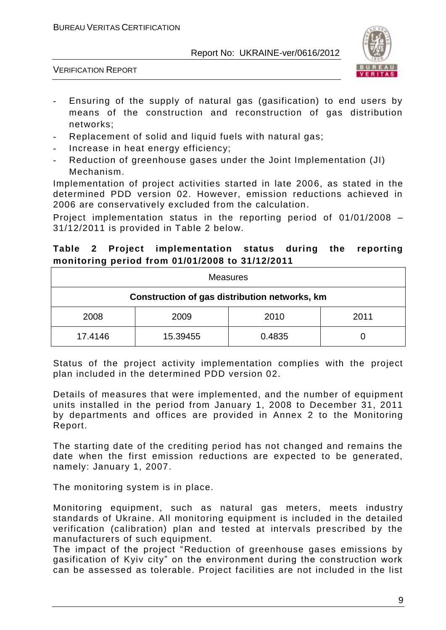

VERIFICATION REPORT

- Ensuring of the supply of natural gas (gasification) to end users by means of the construction and reconstruction of gas distribution networks;
- Replacement of solid and liquid fuels with natural gas;
- Increase in heat energy efficiency;
- Reduction of greenhouse gases under the Joint Implementation (JI) Mechanism.

Implementation of project activities started in late 2006, as stated in the determined PDD version 02. However, emission reductions achieved in 2006 are conservatively excluded from the calculation.

Project implementation status in the reporting period of 01/01/2008 – 31/12/2011 is provided in Table 2 below.

#### **Table 2 Project implementation status during the reporting monitoring period from 01/01/2008 to 31/12/2011**

| <b>Measures</b>                               |          |        |      |
|-----------------------------------------------|----------|--------|------|
| Construction of gas distribution networks, km |          |        |      |
| 2008                                          | 2009     | 2010   | 2011 |
| 17.4146                                       | 15.39455 | 0.4835 |      |

Status of the project activity implementation complies with the project plan included in the determined PDD version 02.

Details of measures that were implemented, and the number of equipment units installed in the period from January 1, 2008 to December 31, 2011 by departments and offices are provided in Annex 2 to the Monitoring Report.

The starting date of the crediting period has not changed and remains the date when the first emission reductions are expected to be generated, namely: January 1, 2007.

The monitoring system is in place.

Monitoring equipment, such as natural gas meters, meets industry standards of Ukraine. All monitoring equipment is included in the detailed verification (calibration) plan and tested at intervals prescribed by the manufacturers of such equipment.

The impact of the project "Reduction of greenhouse gases emissions by gasification of Kyiv city" on the environment during the construction work can be assessed as tolerable. Project facilities are not included in the list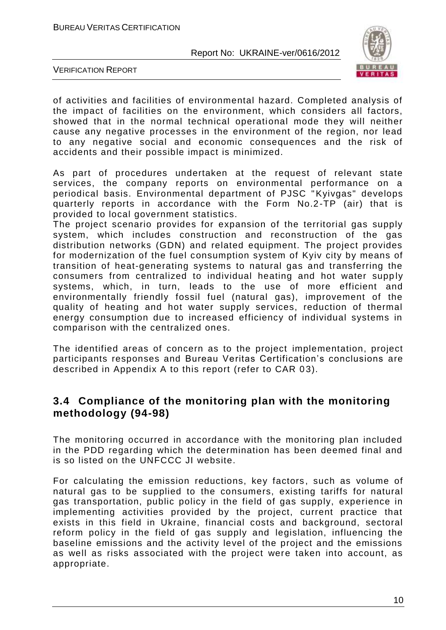

VERIFICATION REPORT

of activities and facilities of environmental hazard. Completed analysis of the impact of facilities on the environment, which considers all factors, showed that in the normal technical operational mode they will neither cause any negative processes in the environment of the region, nor lead to any negative social and economic consequences and the risk of accidents and their possible impact is minimized.

As part of procedures undertaken at the request of relevant state services, the company reports on environmental performance on a periodical basis. Environmental department of PJSC "Kyivgas" develops quarterly reports in accordance with the Form No.2-TP (air) that is provided to local government statistics.

The project scenario provides for expansion of the territorial gas supply system, which includes construction and reconstruction of the gas distribution networks (GDN) and related equipment. The project provides for modernization of the fuel consumption system of Kyiv city by means of transition of heat-generating systems to natural gas and transferring the consumers from centralized to individual heating and hot water supp ly systems, which, in turn, leads to the use of more efficient and environmentally friendly fossil fuel (natural gas), improvement of the quality of heating and hot water supply services, reduction of thermal energy consumption due to increased efficiency of individual systems in comparison with the centralized ones.

The identified areas of concern as to the project implementation, project participants responses and Bureau Veritas Certification's conclusions are described in Appendix A to this report (refer to CAR 03).

## **3.4 Compliance of the monitoring plan with the monitoring methodology (94-98)**

The monitoring occurred in accordance with the monitoring plan included in the PDD regarding which the determination has been deemed final and is so listed on the UNFCCC JI website.

For calculating the emission reductions, key factors, such as volume of natural gas to be supplied to the consumers, existing tariffs for natural gas transportation, public policy in the field of gas supply, experience in implementing activities provided by the project, current practice that exists in this field in Ukraine, financial costs and background, sectoral reform policy in the field of gas supply and legislation, influencing the baseline emissions and the activity level of the project and the emissions as well as risks associated with the project were taken into account, as appropriate.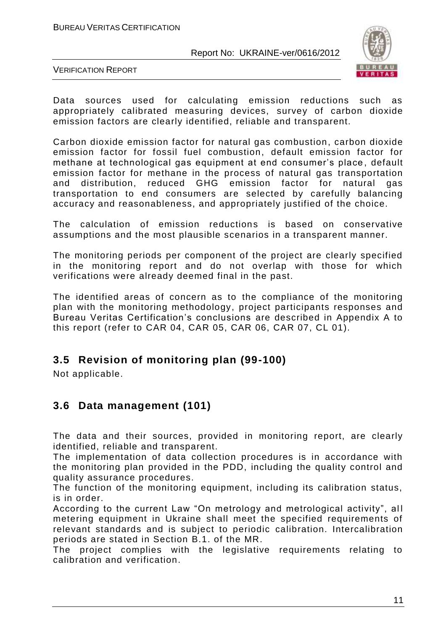

VERIFICATION REPORT

Data sources used for calculating emission reductions such as appropriately calibrated measuring devices, survey of carbon dioxide emission factors are clearly identified, reliable and transparent.

Carbon dioxide emission factor for natural gas combustion, carbon dioxide emission factor for fossil fuel combustion, default emission factor for methane at technological gas equipment at end consumer's place , default emission factor for methane in the process of natural gas transportation and distribution, reduced GHG emission factor for natural gas transportation to end consumers are selected by carefully balancing accuracy and reasonableness, and appropriately justified of the choice.

The calculation of emission reductions is based on conservative assumptions and the most plausible scenarios in a transparent manner.

The monitoring periods per component of the project are clearly specified in the monitoring report and do not overlap with those for which verifications were already deemed final in the past.

The identified areas of concern as to the compliance of the monitoring plan with the monitoring methodology, project participants responses and Bureau Veritas Certification's conclusions are described in Appendix A to this report (refer to CAR 04, CAR 05, CAR 06, CAR 07, CL 01).

## **3.5 Revision of monitoring plan (99-100)**

Not applicable.

## **3.6 Data management (101)**

The data and their sources, provided in monitoring report, are clearly identified, reliable and transparent.

The implementation of data collection procedures is in accordance with the monitoring plan provided in the PDD, including the quality control and quality assurance procedures.

The function of the monitoring equipment, including its calibration status, is in order.

According to the current Law "On metrology and metrological activity", all metering equipment in Ukraine shall meet the specified requirements of relevant standards and is subject to periodic calibration. Intercalibration periods are stated in Section B.1. of the MR.

The project complies with the legislative requirements relating to calibration and verification.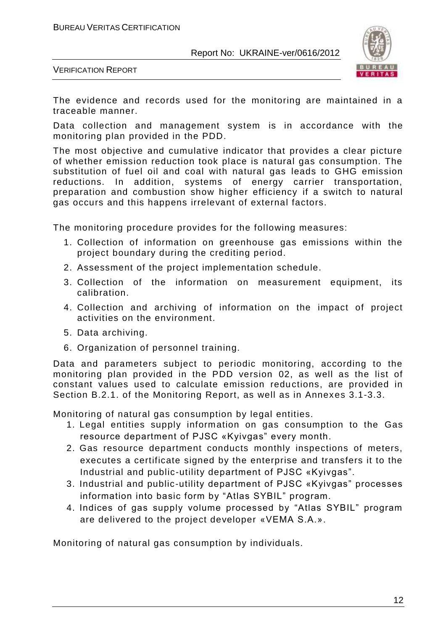

VERIFICATION REPORT

The evidence and records used for the monitoring are maintained in a traceable manner.

Data collection and management system is in accordance with the monitoring plan provided in the PDD.

The most objective and cumulative indicator that provides a clear picture of whether emission reduction took place is natural gas consumption. The substitution of fuel oil and coal with natural gas leads to GHG emission reductions. In addition, systems of energy carrier transportation, preparation and combustion show higher efficiency if a switch to natural gas occurs and this happens irrelevant of external factors.

The monitoring procedure provides for the following measures:

- 1. Collection of information on greenhouse gas emissions within the project boundary during the crediting period.
- 2. Assessment of the project implementation schedule.
- 3. Collection of the information on measurement equipment, its calibration.
- 4. Collection and archiving of information on the impact of project activities on the environment.
- 5. Data archiving.
- 6. Organization of personnel training.

Data and parameters subject to periodic monitoring, according to the monitoring plan provided in the PDD version 02, as well as the list of constant values used to calculate emission reductions, are provided in Section B.2.1. of the Monitoring Report, as well as in Annexes 3.1-3.3.

Monitoring of natural gas consumption by legal entities.

- 1. Legal entities supply information on gas consumption to the Gas resource department of PJSC «Kyivgas" every month.
- 2. Gas resource department conducts monthly inspections of meters, executes a certificate signed by the enterprise and transfers it to the Industrial and public-utility department of PJSC «Kyivgas".
- 3. Industrial and public-utility department of PJSC «Kyivgas" processes information into basic form by "Atlas SYBIL" program.
- 4. Indices of gas supply volume processed by "Atlas SYBIL" program are delivered to the project developer «VEMA S.A.».

Monitoring of natural gas consumption by individuals.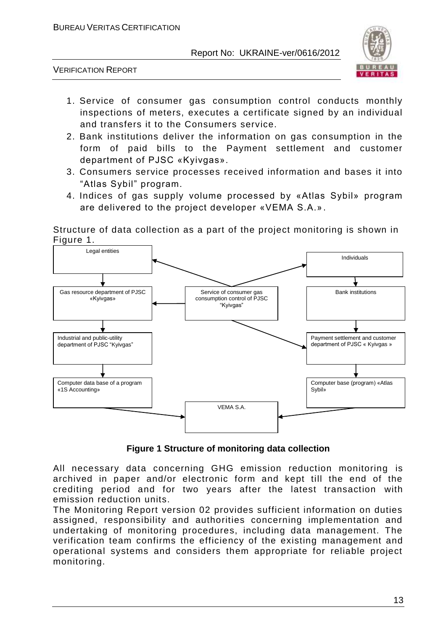

VERIFICATION REPORT

- 1. Service of consumer gas consumption control conducts monthly inspections of meters, executes a certificate signed by an individual and transfers it to the Consumers service.
- 2. Bank institutions deliver the information on gas consumption in the form of paid bills to the Payment settlement and customer department of PJSC «Kyivgas».
- 3. Consumers service processes received information and bases it into "Atlas Sybil" program.
- 4. Indices of gas supply volume processed by «Atlas Sybil» program are delivered to the project developer «VEMA S.A.».

Structure of data collection as a part of the project monitoring is shown in Figure 1.



**Figure 1 Structure of monitoring data collection**

All necessary data concerning GHG emission reduction monitoring is archived in paper and/or electronic form and kept till the end of the crediting period and for two years after the latest transaction with emission reduction units.

The Monitoring Report version 02 provides sufficient information on duties assigned, responsibility and authorities concerning implementation and undertaking of monitoring procedures, including data management. The verification team confirms the efficiency of the existing management and operational systems and considers them appropriate for reliable project monitoring.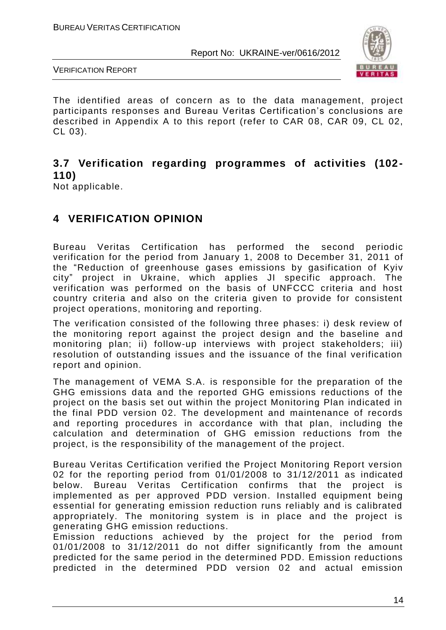

VERIFICATION REPORT

The identified areas of concern as to the data management, project participants responses and Bureau Veritas Certification's conclusions are described in Appendix A to this report (refer to CAR 08, CAR 09, CL 02, CL 03).

## **3.7 Verification regarding programmes of activities (102- 110)**

Not applicable.

## **4 VERIFICATION OPINION**

Bureau Veritas Certification has performed the second periodic verification for the period from January 1, 2008 to December 31, 2011 of the "Reduction of greenhouse gases emissions by gasification of Kyiv city" project in Ukraine, which applies JI specific approach. The verification was performed on the basis of UNFCCC criteria and host country criteria and also on the criteria given to provide for consistent project operations, monitoring and reporting.

The verification consisted of the following three phases: i) desk review of the monitoring report against the project design and the baseline a nd monitoring plan; ii) follow-up interviews with project stakeholders; iii) resolution of outstanding issues and the issuance of the final verification report and opinion.

The management of VEMA S.A. is responsible for the preparation of the GHG emissions data and the reported GHG emissions reductions of the project on the basis set out within the project Monitoring Plan indicated in the final PDD version 02. The development and maintenance of records and reporting procedures in accordance with that plan, including the calculation and determination of GHG emission reductions from the project, is the responsibility of the management of the project.

Bureau Veritas Certification verified the Project Monitoring Report version 02 for the reporting period from 01/01/2008 to 31/12/2011 as indicated below. Bureau Veritas Certification confirms that the project is implemented as per approved PDD version. Installed equipment being essential for generating emission reduction runs reliably and is calibrated appropriately. The monitoring system is in place and the project is generating GHG emission reductions.

Emission reductions achieved by the project for the period from 01/01/2008 to 31/12/2011 do not differ significantly from the amount predicted for the same period in the determined PDD. Emission reductions predicted in the determined PDD version 02 and actual emission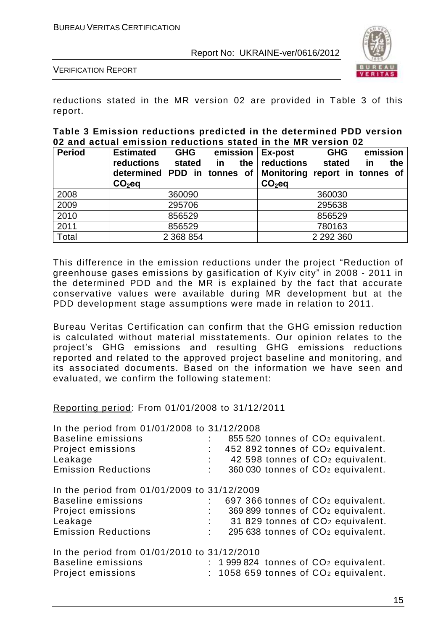

VERIFICATION REPORT

reductions stated in the MR version 02 are provided in Table 3 of this report.

#### **Table 3 Emission reductions predicted in the determined PDD version 02 and actual emission reductions stated in the MR version 02**

| <b>Period</b> | <b>Estimated</b><br><b>GHG</b><br>reductions<br>stated<br>determined PDD in tonnes of<br>$CO2$ eq | emission<br>in<br>the | Ex-post<br>reductions<br>Monitoring report in tonnes of<br>$CO2$ eq | <b>GHG</b><br>stated | emission<br>the<br>in |
|---------------|---------------------------------------------------------------------------------------------------|-----------------------|---------------------------------------------------------------------|----------------------|-----------------------|
| 2008          | 360090                                                                                            |                       |                                                                     | 360030               |                       |
| 2009          | 295706                                                                                            |                       |                                                                     | 295638               |                       |
| 2010          | 856529                                                                                            |                       |                                                                     | 856529               |                       |
| 2011          | 856529                                                                                            |                       |                                                                     | 780163               |                       |
| Total         | 2 3 68 8 54                                                                                       |                       |                                                                     | 2 2 9 2 3 6 0        |                       |

This difference in the emission reductions under the project "Reduction of greenhouse gases emissions by gasification of Kyiv city" in 2008 - 2011 in the determined PDD and the MR is explained by the fact that accurate conservative values were available during MR development but at the PDD development stage assumptions were made in relation to 2011.

Bureau Veritas Certification can confirm that the GHG emission reduction is calculated without material misstatements. Our opinion relates to the project's GHG emissions and resulting GHG emissions reductions reported and related to the approved project baseline and monitoring, and its associated documents. Based on the information we have seen and evaluated, we confirm the following statement:

#### Reporting period: From 01/01/2008 to 31/12/2011

In the period from 01/01/2008 to 31/12/2008

| <b>Baseline emissions</b><br>Project emissions<br>Leakage<br><b>Emission Reductions</b>                                                | 855 520 tonnes of CO <sub>2</sub> equivalent.<br>452 892 tonnes of CO <sub>2</sub> equivalent.<br>42 598 tonnes of CO <sub>2</sub> equivalent.<br>360 030 tonnes of CO <sub>2</sub> equivalent. |
|----------------------------------------------------------------------------------------------------------------------------------------|-------------------------------------------------------------------------------------------------------------------------------------------------------------------------------------------------|
| In the period from 01/01/2009 to 31/12/2009<br><b>Baseline emissions</b><br>Project emissions<br>Leakage<br><b>Emission Reductions</b> | 697 366 tonnes of CO <sub>2</sub> equivalent.<br>369 899 tonnes of CO <sub>2</sub> equivalent.<br>31 829 tonnes of CO <sub>2</sub> equivalent.<br>295 638 tonnes of CO <sub>2</sub> equivalent. |
| In the period from 01/01/2010 to 31/12/2010<br><b>Baseline emissions</b><br>Project emissions                                          | $: 1999824$ tonnes of $CO2$ equivalent.<br>$: 1058659$ tonnes of $CO2$ equivalent.                                                                                                              |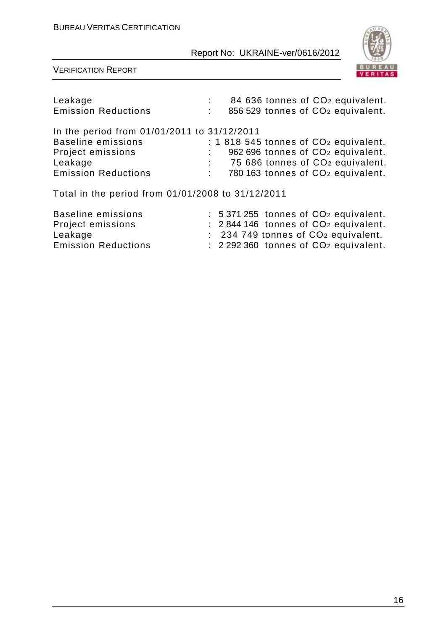

VERIFICATION REPORT

| Leakage<br><b>Emission Reductions</b>                                    | 84 636 tonnes of CO <sub>2</sub> equivalent.<br>856 529 tonnes of CO <sub>2</sub> equivalent. |
|--------------------------------------------------------------------------|-----------------------------------------------------------------------------------------------|
| In the period from 01/01/2011 to 31/12/2011<br><b>Baseline emissions</b> | $: 1818545$ tonnes of $CO2$ equivalent.                                                       |
| Project emissions                                                        | 962 696 tonnes of CO <sub>2</sub> equivalent.                                                 |
| Leakage                                                                  | 75 686 tonnes of CO <sub>2</sub> equivalent.                                                  |
| <b>Emission Reductions</b>                                               | 780 163 tonnes of CO <sub>2</sub> equivalent.                                                 |
| Total in the period from 01/01/2008 to 31/12/2011                        |                                                                                               |
| <b>Baseline emissions</b>                                                | $: 5371255$ tonnes of $CO2$ equivalent.                                                       |
| Project emissions                                                        | : 2844 146 tonnes of CO <sub>2</sub> equivalent.                                              |
| Leakage                                                                  | : 234 749 tonnes of CO <sub>2</sub> equivalent.                                               |

Emission Reductions : 2 292 360 tonnes of CO<sup>2</sup> equivalent.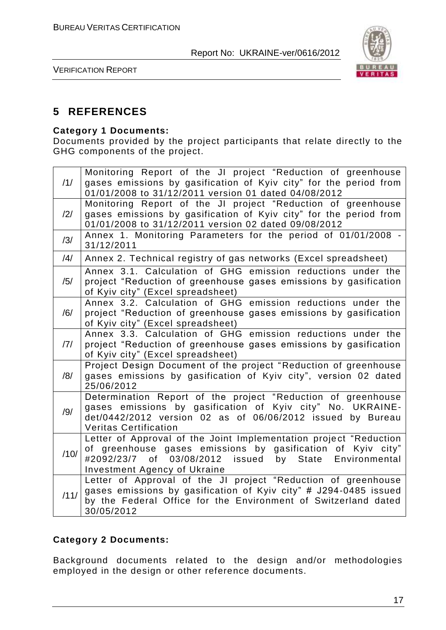

VERIFICATION REPORT

## **5 REFERENCES**

#### **Category 1 Documents:**

Documents provided by the project participants that relate directly to the GHG components of the project.

| /1/  | Monitoring Report of the JI project "Reduction of greenhouse<br>gases emissions by gasification of Kyiv city" for the period from                                                                                                          |
|------|--------------------------------------------------------------------------------------------------------------------------------------------------------------------------------------------------------------------------------------------|
|      | 01/01/2008 to 31/12/2011 version 01 dated 04/08/2012                                                                                                                                                                                       |
| /2/  | Monitoring Report of the JI project "Reduction of greenhouse<br>gases emissions by gasification of Kyiv city" for the period from<br>01/01/2008 to 31/12/2011 version 02 dated 09/08/2012                                                  |
| /3/  | Annex 1. Monitoring Parameters for the period of 01/01/2008 -<br>31/12/2011                                                                                                                                                                |
| /4/  | Annex 2. Technical registry of gas networks (Excel spreadsheet)                                                                                                                                                                            |
| /5/  | Annex 3.1. Calculation of GHG emission reductions under the<br>project "Reduction of greenhouse gases emissions by gasification<br>of Kyiv city" (Excel spreadsheet)                                                                       |
| /6/  | Annex 3.2. Calculation of GHG emission reductions under the<br>project "Reduction of greenhouse gases emissions by gasification<br>of Kyiv city" (Excel spreadsheet)                                                                       |
| 7    | Annex 3.3. Calculation of GHG emission reductions under the<br>project "Reduction of greenhouse gases emissions by gasification<br>of Kyiv city" (Excel spreadsheet)                                                                       |
| /8/  | Project Design Document of the project "Reduction of greenhouse<br>gases emissions by gasification of Kyiv city", version 02 dated<br>25/06/2012                                                                                           |
| /9/  | Determination Report of the project "Reduction of greenhouse<br>gases emissions by gasification of Kyiv city" No. UKRAINE-<br>det/0442/2012 version 02 as of 06/06/2012 issued by Bureau<br><b>Veritas Certification</b>                   |
| /10/ | Letter of Approval of the Joint Implementation project "Reduction<br>of greenhouse gases emissions by gasification of Kyiv city"<br>03/08/2012<br>issued by State<br>#2092/23/7 of<br>Environmental<br><b>Investment Agency of Ukraine</b> |
| /11/ | Letter of Approval of the JI project "Reduction of greenhouse<br>gases emissions by gasification of Kyiv city" # J294-0485 issued<br>by the Federal Office for the Environment of Switzerland dated<br>30/05/2012                          |

#### **Category 2 Documents:**

Background documents related to the design and/or methodologies employed in the design or other reference documents.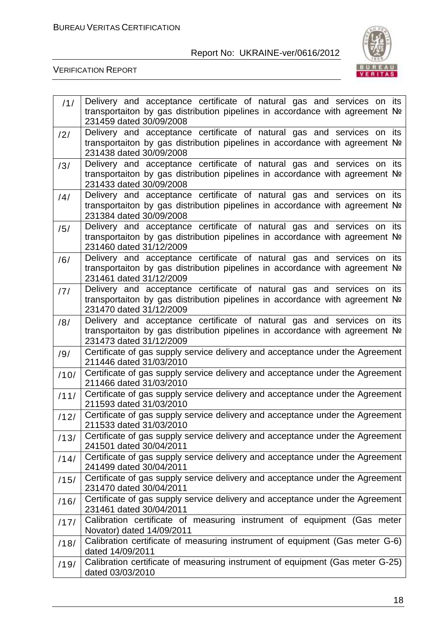

| 11/  | Delivery and acceptance certificate of natural gas and services on its                                   |
|------|----------------------------------------------------------------------------------------------------------|
|      | transportaiton by gas distribution pipelines in accordance with agreement Nº                             |
|      | 231459 dated 30/09/2008                                                                                  |
| /2/  | Delivery and acceptance certificate of natural gas and services on its                                   |
|      | transportaiton by gas distribution pipelines in accordance with agreement No<br>231438 dated 30/09/2008  |
|      | Delivery and acceptance certificate of natural gas and services on its                                   |
| /3/  | transportaiton by gas distribution pipelines in accordance with agreement Nº                             |
|      | 231433 dated 30/09/2008                                                                                  |
| /4/  | Delivery and acceptance certificate of natural gas and services on its                                   |
|      | transportaiton by gas distribution pipelines in accordance with agreement Nº                             |
|      | 231384 dated 30/09/2008                                                                                  |
| /5/  | Delivery and acceptance certificate of natural gas and services on its                                   |
|      | transportaiton by gas distribution pipelines in accordance with agreement Nº                             |
|      | 231460 dated 31/12/2009<br>Delivery and acceptance certificate of natural gas and services on its        |
| /6/  | transportaiton by gas distribution pipelines in accordance with agreement No                             |
|      | 231461 dated 31/12/2009                                                                                  |
| /7/  | Delivery and acceptance certificate of natural gas and services on its                                   |
|      | transportaiton by gas distribution pipelines in accordance with agreement No                             |
|      | 231470 dated 31/12/2009                                                                                  |
| /8/  | Delivery and acceptance certificate of natural gas and services on its                                   |
|      | transportaiton by gas distribution pipelines in accordance with agreement Nº<br>231473 dated 31/12/2009  |
|      | Certificate of gas supply service delivery and acceptance under the Agreement                            |
| /9/  | 211446 dated 31/03/2010                                                                                  |
| /10/ | Certificate of gas supply service delivery and acceptance under the Agreement                            |
|      | 211466 dated 31/03/2010                                                                                  |
| /11/ | Certificate of gas supply service delivery and acceptance under the Agreement                            |
|      | 211593 dated 31/03/2010<br>Certificate of gas supply service delivery and acceptance under the Agreement |
| /12/ | 211533 dated 31/03/2010                                                                                  |
| /13/ | Certificate of gas supply service delivery and acceptance under the Agreement                            |
|      | 241501 dated 30/04/2011                                                                                  |
| /14/ | Certificate of gas supply service delivery and acceptance under the Agreement                            |
|      | 241499 dated 30/04/2011                                                                                  |
| /15/ | Certificate of gas supply service delivery and acceptance under the Agreement                            |
|      | 231470 dated 30/04/2011<br>Certificate of gas supply service delivery and acceptance under the Agreement |
| /16/ | 231461 dated 30/04/2011                                                                                  |
| /17/ | Calibration certificate of measuring instrument of equipment (Gas meter                                  |
|      | Novator) dated 14/09/2011                                                                                |
| /18/ | Calibration certificate of measuring instrument of equipment (Gas meter G-6)                             |
|      | dated 14/09/2011                                                                                         |
| /19/ | Calibration certificate of measuring instrument of equipment (Gas meter G-25)                            |
|      | dated 03/03/2010                                                                                         |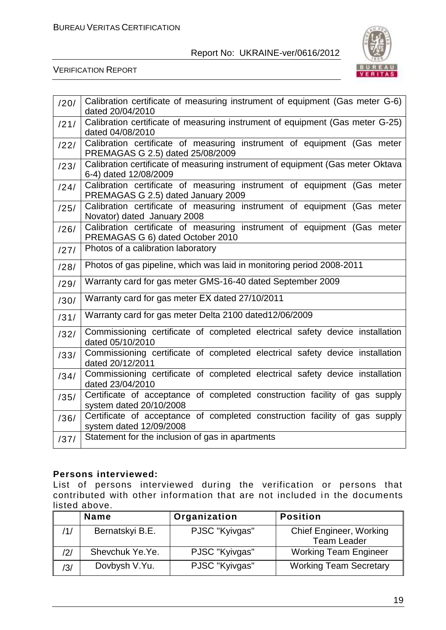

VERIFICATION REPORT

| /20/ | Calibration certificate of measuring instrument of equipment (Gas meter G-6)<br>dated 20/04/2010              |
|------|---------------------------------------------------------------------------------------------------------------|
| /21/ | Calibration certificate of measuring instrument of equipment (Gas meter G-25)<br>dated 04/08/2010             |
| /22/ | Calibration certificate of measuring instrument of equipment (Gas meter<br>PREMAGAS G 2.5) dated 25/08/2009   |
| /23/ | Calibration certificate of measuring instrument of equipment (Gas meter Oktava<br>6-4) dated 12/08/2009       |
| /24/ | Calibration certificate of measuring instrument of equipment (Gas meter<br>PREMAGAS G 2.5) dated January 2009 |
| /25/ | Calibration certificate of measuring instrument of equipment (Gas meter<br>Novator) dated January 2008        |
| /26/ | Calibration certificate of measuring instrument of equipment (Gas meter<br>PREMAGAS G 6) dated October 2010   |
| /27/ | Photos of a calibration laboratory                                                                            |
| /28/ | Photos of gas pipeline, which was laid in monitoring period 2008-2011                                         |
| /29/ | Warranty card for gas meter GMS-16-40 dated September 2009                                                    |
| /30/ | Warranty card for gas meter EX dated 27/10/2011                                                               |
| /31/ | Warranty card for gas meter Delta 2100 dated12/06/2009                                                        |
| /32/ | Commissioning certificate of completed electrical safety device installation<br>dated 05/10/2010              |
| /33/ | Commissioning certificate of completed electrical safety device installation<br>dated 20/12/2011              |
| /34/ | Commissioning certificate of completed electrical safety device installation<br>dated 23/04/2010              |
| /35/ | Certificate of acceptance of completed construction facility of gas supply<br>system dated 20/10/2008         |
| /36/ | Certificate of acceptance of completed construction facility of gas supply<br>system dated 12/09/2008         |
| /37/ | Statement for the inclusion of gas in apartments                                                              |

#### **Persons interviewed:**

List of persons interviewed during the verification or persons that contributed with other information that are not included in the documents listed above.

|     | <b>Name</b>     | Organization   | <b>Position</b>                |
|-----|-----------------|----------------|--------------------------------|
| /1/ | Bernatskyi B.E. | PJSC "Kyivgas" | <b>Chief Engineer, Working</b> |
|     |                 |                | <b>Team Leader</b>             |
| /2/ | Shevchuk Ye.Ye. | PJSC "Kyivgas" | <b>Working Team Engineer</b>   |
| /3/ | Dovbysh V.Yu.   | PJSC "Kyivgas" | <b>Working Team Secretary</b>  |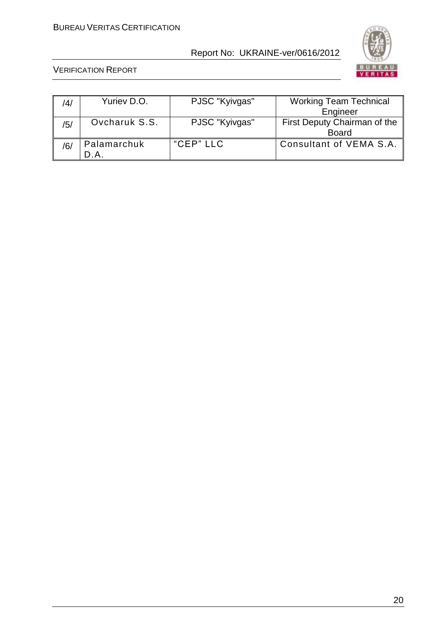

| /4/ | Yuriev D.O.   | PJSC "Kyivgas" | <b>Working Team Technical</b>                |
|-----|---------------|----------------|----------------------------------------------|
|     |               |                | Engineer                                     |
| /5/ | Ovcharuk S.S. | PJSC "Kyivgas" | First Deputy Chairman of the<br><b>Board</b> |
| /6, | Palamarchuk   | "CEP" LLC      | Consultant of VEMA S.A.                      |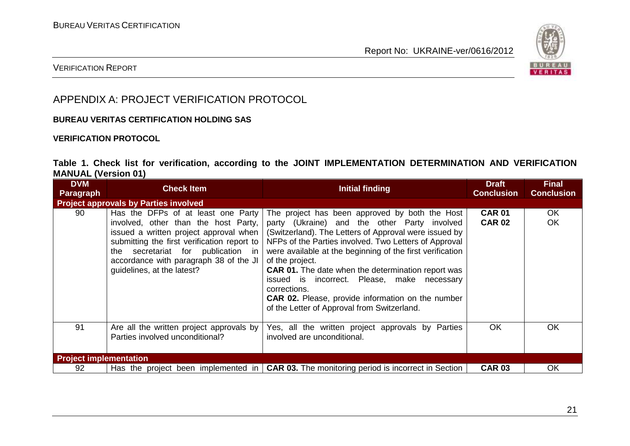

#### VERIFICATION REPORT

## APPENDIX A: PROJECT VERIFICATION PROTOCOL

#### **BUREAU VERITAS CERTIFICATION HOLDING SAS**

#### **VERIFICATION PROTOCOL**

#### **Table 1. Check list for verification, according to the JOINT IMPLEMENTATION DETERMINATION AND VERIFICATION MANUAL (Version 01)**

| <b>DVM</b><br><b>Paragraph</b> | <b>Check Item</b>                                                                                                                                                                                                                                                                    | Initial finding                                                                                                                                                                                                                                                                                                                                                                                                                                                                                                                         | <b>Draft</b><br><b>Conclusion</b> | <b>Final</b><br><b>Conclusion</b> |
|--------------------------------|--------------------------------------------------------------------------------------------------------------------------------------------------------------------------------------------------------------------------------------------------------------------------------------|-----------------------------------------------------------------------------------------------------------------------------------------------------------------------------------------------------------------------------------------------------------------------------------------------------------------------------------------------------------------------------------------------------------------------------------------------------------------------------------------------------------------------------------------|-----------------------------------|-----------------------------------|
|                                | <b>Project approvals by Parties involved</b>                                                                                                                                                                                                                                         |                                                                                                                                                                                                                                                                                                                                                                                                                                                                                                                                         |                                   |                                   |
| 90                             | Has the DFPs of at least one Party<br>involved, other than the host Party,<br>issued a written project approval when<br>submitting the first verification report to<br>secretariat for publication in<br>the<br>accordance with paragraph 38 of the JI<br>guidelines, at the latest? | The project has been approved by both the Host<br>party (Ukraine) and the other Party involved<br>(Switzerland). The Letters of Approval were issued by<br>NFPs of the Parties involved. Two Letters of Approval<br>were available at the beginning of the first verification<br>of the project.<br><b>CAR 01.</b> The date when the determination report was<br>issued is incorrect. Please, make necessary<br>corrections.<br><b>CAR 02.</b> Please, provide information on the number<br>of the Letter of Approval from Switzerland. | <b>CAR 01</b><br><b>CAR 02</b>    | OK.<br>OK                         |
| 91                             | Are all the written project approvals by<br>Parties involved unconditional?                                                                                                                                                                                                          | Yes, all the written project approvals by Parties<br>involved are unconditional.                                                                                                                                                                                                                                                                                                                                                                                                                                                        | OK                                | OK.                               |
| <b>Project implementation</b>  |                                                                                                                                                                                                                                                                                      |                                                                                                                                                                                                                                                                                                                                                                                                                                                                                                                                         |                                   |                                   |
| 92                             |                                                                                                                                                                                                                                                                                      | Has the project been implemented in $\vert$ CAR 03. The monitoring period is incorrect in Section                                                                                                                                                                                                                                                                                                                                                                                                                                       | <b>CAR 03</b>                     | OK.                               |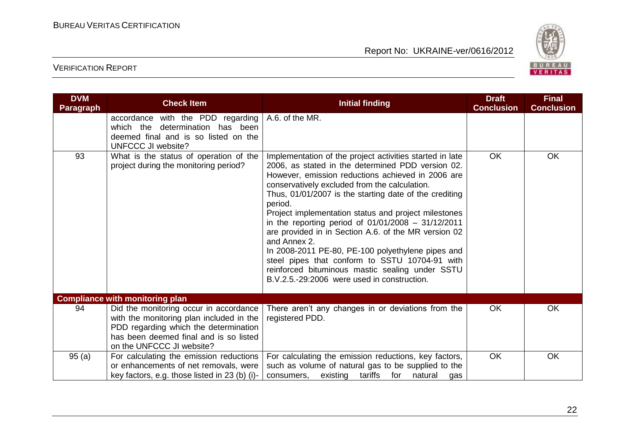

| <b>DVM</b><br><b>Paragraph</b> | <b>Check Item</b>                                                                                                                                                                                  | <b>Initial finding</b>                                                                                                                                                                                                                                                                                                                                                                                                                                                                                                                                                                                                                                                                    | <b>Draft</b><br><b>Conclusion</b> | <b>Final</b><br><b>Conclusion</b> |
|--------------------------------|----------------------------------------------------------------------------------------------------------------------------------------------------------------------------------------------------|-------------------------------------------------------------------------------------------------------------------------------------------------------------------------------------------------------------------------------------------------------------------------------------------------------------------------------------------------------------------------------------------------------------------------------------------------------------------------------------------------------------------------------------------------------------------------------------------------------------------------------------------------------------------------------------------|-----------------------------------|-----------------------------------|
|                                | accordance with the PDD regarding<br>which the determination has been<br>deemed final and is so listed on the<br><b>UNFCCC JI website?</b>                                                         | A.6. of the MR.                                                                                                                                                                                                                                                                                                                                                                                                                                                                                                                                                                                                                                                                           |                                   |                                   |
| 93                             | What is the status of operation of the<br>project during the monitoring period?                                                                                                                    | Implementation of the project activities started in late<br>2006, as stated in the determined PDD version 02.<br>However, emission reductions achieved in 2006 are<br>conservatively excluded from the calculation.<br>Thus, 01/01/2007 is the starting date of the crediting<br>period.<br>Project implementation status and project milestones<br>in the reporting period of $01/01/2008 - 31/12/2011$<br>are provided in in Section A.6. of the MR version 02<br>and Annex 2.<br>In 2008-2011 PE-80, PE-100 polyethylene pipes and<br>steel pipes that conform to SSTU 10704-91 with<br>reinforced bituminous mastic sealing under SSTU<br>B.V.2.5.-29:2006 were used in construction. | OK                                | <b>OK</b>                         |
|                                | <b>Compliance with monitoring plan</b>                                                                                                                                                             |                                                                                                                                                                                                                                                                                                                                                                                                                                                                                                                                                                                                                                                                                           |                                   |                                   |
| 94                             | Did the monitoring occur in accordance<br>with the monitoring plan included in the<br>PDD regarding which the determination<br>has been deemed final and is so listed<br>on the UNFCCC JI website? | There aren't any changes in or deviations from the<br>registered PDD.                                                                                                                                                                                                                                                                                                                                                                                                                                                                                                                                                                                                                     | <b>OK</b>                         | OK                                |
| 95(a)                          | For calculating the emission reductions<br>or enhancements of net removals, were<br>key factors, e.g. those listed in 23 (b) (i)-                                                                  | For calculating the emission reductions, key factors,<br>such as volume of natural gas to be supplied to the<br>existing tariffs<br>consumers.<br>for<br>natural<br>gas                                                                                                                                                                                                                                                                                                                                                                                                                                                                                                                   | OK                                | OK                                |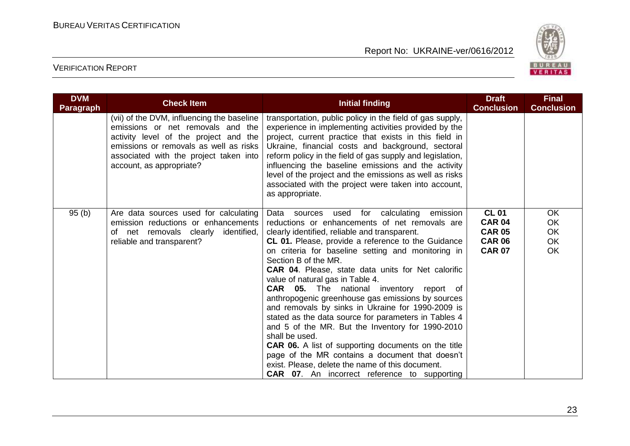

| <b>DVM</b><br><b>Paragraph</b> | <b>Check Item</b>                                                                                                                                                                                                                        | Initial finding                                                                                                                                                                                                                                                                                                                                                                                                                                                                                                                                                                                                                                                                                                                                                                                                                                                                                                       | <b>Draft</b><br><b>Conclusion</b>                                                | <b>Final</b><br><b>Conclusion</b>                             |
|--------------------------------|------------------------------------------------------------------------------------------------------------------------------------------------------------------------------------------------------------------------------------------|-----------------------------------------------------------------------------------------------------------------------------------------------------------------------------------------------------------------------------------------------------------------------------------------------------------------------------------------------------------------------------------------------------------------------------------------------------------------------------------------------------------------------------------------------------------------------------------------------------------------------------------------------------------------------------------------------------------------------------------------------------------------------------------------------------------------------------------------------------------------------------------------------------------------------|----------------------------------------------------------------------------------|---------------------------------------------------------------|
|                                | (vii) of the DVM, influencing the baseline<br>emissions or net removals and the<br>activity level of the project and the<br>emissions or removals as well as risks<br>associated with the project taken into<br>account, as appropriate? | transportation, public policy in the field of gas supply,<br>experience in implementing activities provided by the<br>project, current practice that exists in this field in<br>Ukraine, financial costs and background, sectoral<br>reform policy in the field of gas supply and legislation,<br>influencing the baseline emissions and the activity<br>level of the project and the emissions as well as risks<br>associated with the project were taken into account,<br>as appropriate.                                                                                                                                                                                                                                                                                                                                                                                                                           |                                                                                  |                                                               |
| 95(b)                          | Are data sources used for calculating<br>emission reductions or enhancements<br>net removals clearly<br>identified,<br>of<br>reliable and transparent?                                                                                   | for calculating<br>emission<br>Data sources<br>used<br>reductions or enhancements of net removals are<br>clearly identified, reliable and transparent.<br>CL 01. Please, provide a reference to the Guidance<br>on criteria for baseline setting and monitoring in<br>Section B of the MR.<br><b>CAR 04.</b> Please, state data units for Net calorific<br>value of natural gas in Table 4.<br><b>CAR</b> 05. The national inventory<br>report of<br>anthropogenic greenhouse gas emissions by sources<br>and removals by sinks in Ukraine for 1990-2009 is<br>stated as the data source for parameters in Tables 4<br>and 5 of the MR. But the Inventory for 1990-2010<br>shall be used.<br><b>CAR 06.</b> A list of supporting documents on the title<br>page of the MR contains a document that doesn't<br>exist. Please, delete the name of this document.<br><b>CAR 07.</b> An incorrect reference to supporting | <b>CL 01</b><br><b>CAR 04</b><br><b>CAR 05</b><br><b>CAR 06</b><br><b>CAR 07</b> | <b>OK</b><br><b>OK</b><br><b>OK</b><br><b>OK</b><br><b>OK</b> |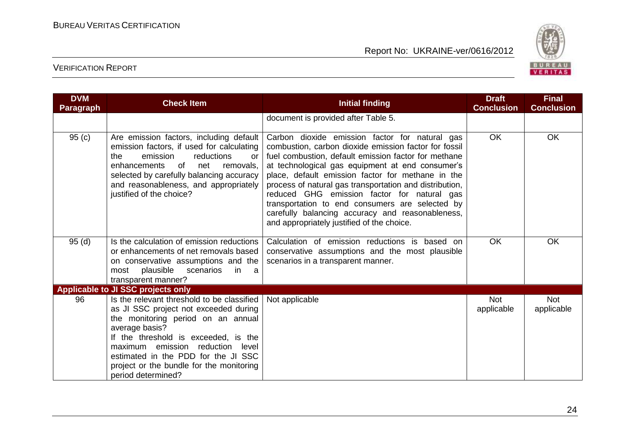

| <b>DVM</b><br><b>Paragraph</b> | <b>Check Item</b>                                                                                                                                                                                                                                                                                                                      | <b>Initial finding</b>                                                                                                                                                                                                                                                                                                                                                                                                                                                                                                                  | <b>Draft</b><br><b>Conclusion</b> | <b>Final</b><br><b>Conclusion</b> |
|--------------------------------|----------------------------------------------------------------------------------------------------------------------------------------------------------------------------------------------------------------------------------------------------------------------------------------------------------------------------------------|-----------------------------------------------------------------------------------------------------------------------------------------------------------------------------------------------------------------------------------------------------------------------------------------------------------------------------------------------------------------------------------------------------------------------------------------------------------------------------------------------------------------------------------------|-----------------------------------|-----------------------------------|
|                                |                                                                                                                                                                                                                                                                                                                                        | document is provided after Table 5.                                                                                                                                                                                                                                                                                                                                                                                                                                                                                                     |                                   |                                   |
| 95(c)                          | Are emission factors, including default<br>emission factors, if used for calculating<br>reductions<br>the<br>emission<br><b>or</b><br>enhancements of<br>net<br>removals,<br>selected by carefully balancing accuracy<br>and reasonableness, and appropriately<br>justified of the choice?                                             | Carbon dioxide emission factor for natural gas<br>combustion, carbon dioxide emission factor for fossil<br>fuel combustion, default emission factor for methane<br>at technological gas equipment at end consumer's<br>place, default emission factor for methane in the<br>process of natural gas transportation and distribution,<br>reduced GHG emission factor for natural gas<br>transportation to end consumers are selected by<br>carefully balancing accuracy and reasonableness,<br>and appropriately justified of the choice. | <b>OK</b>                         | OK                                |
| 95(d)                          | Is the calculation of emission reductions<br>or enhancements of net removals based<br>on conservative assumptions and the<br>plausible<br>scenarios<br>most<br>in.<br>a<br>transparent manner?                                                                                                                                         | Calculation of emission reductions is based on<br>conservative assumptions and the most plausible<br>scenarios in a transparent manner.                                                                                                                                                                                                                                                                                                                                                                                                 | <b>OK</b>                         | <b>OK</b>                         |
|                                | <b>Applicable to JI SSC projects only</b>                                                                                                                                                                                                                                                                                              |                                                                                                                                                                                                                                                                                                                                                                                                                                                                                                                                         |                                   |                                   |
| 96                             | Is the relevant threshold to be classified<br>as JI SSC project not exceeded during<br>the monitoring period on an annual<br>average basis?<br>If the threshold is exceeded, is the<br>maximum emission<br>reduction<br>level<br>estimated in the PDD for the JI SSC<br>project or the bundle for the monitoring<br>period determined? | Not applicable                                                                                                                                                                                                                                                                                                                                                                                                                                                                                                                          | <b>Not</b><br>applicable          | <b>Not</b><br>applicable          |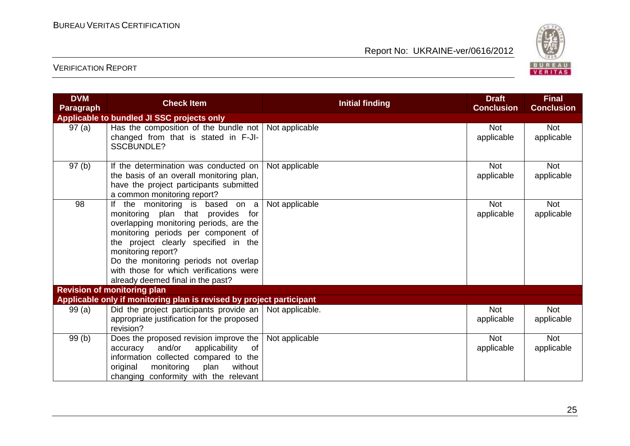

| <b>DVM</b><br><b>Paragraph</b> | <b>Check Item</b>                                                                                                                                                                                                                                                                                                                          | <b>Initial finding</b> | <b>Draft</b><br><b>Conclusion</b> | <b>Final</b><br><b>Conclusion</b> |
|--------------------------------|--------------------------------------------------------------------------------------------------------------------------------------------------------------------------------------------------------------------------------------------------------------------------------------------------------------------------------------------|------------------------|-----------------------------------|-----------------------------------|
|                                | Applicable to bundled JI SSC projects only                                                                                                                                                                                                                                                                                                 |                        |                                   |                                   |
| 97(a)                          | Has the composition of the bundle not Not applicable<br>changed from that is stated in F-JI-<br><b>SSCBUNDLE?</b>                                                                                                                                                                                                                          |                        | Not<br>applicable                 | <b>Not</b><br>applicable          |
| 97(b)                          | If the determination was conducted on<br>the basis of an overall monitoring plan,<br>have the project participants submitted<br>a common monitoring report?                                                                                                                                                                                | Not applicable         | <b>Not</b><br>applicable          | <b>Not</b><br>applicable          |
| 98                             | the monitoring is based on a<br>monitoring plan that provides for<br>overlapping monitoring periods, are the<br>monitoring periods per component of<br>the project clearly specified in the<br>monitoring report?<br>Do the monitoring periods not overlap<br>with those for which verifications were<br>already deemed final in the past? | Not applicable         | <b>Not</b><br>applicable          | <b>Not</b><br>applicable          |
|                                | <b>Revision of monitoring plan</b>                                                                                                                                                                                                                                                                                                         |                        |                                   |                                   |
|                                | Applicable only if monitoring plan is revised by project participant                                                                                                                                                                                                                                                                       |                        |                                   |                                   |
| 99(a)                          | Did the project participants provide an<br>appropriate justification for the proposed<br>revision?                                                                                                                                                                                                                                         | Not applicable.        | <b>Not</b><br>applicable          | <b>Not</b><br>applicable          |
| 99(b)                          | Does the proposed revision improve the<br>and/or<br>applicability<br>of<br>accuracy<br>information collected compared to the<br>original<br>without<br>monitoring<br>plan<br>changing conformity with the relevant                                                                                                                         | Not applicable         | <b>Not</b><br>applicable          | <b>Not</b><br>applicable          |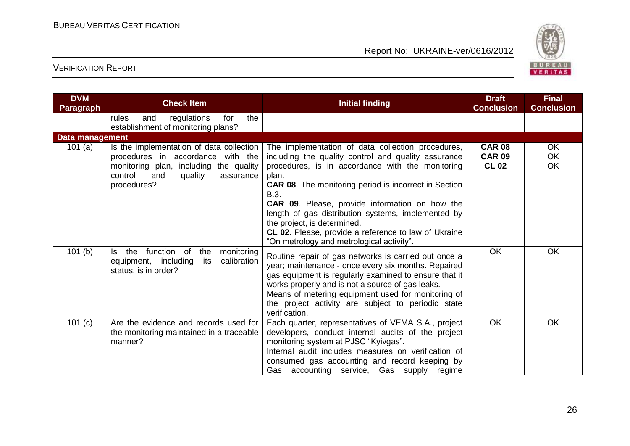

| <b>DVM</b><br><b>Paragraph</b> | <b>Check Item</b>                                                                                                                                                                | <b>Initial finding</b>                                                                                                                                                                                                                                                                                                                                                                                                                                                                           | <b>Draft</b><br><b>Conclusion</b>              | <b>Final</b><br><b>Conclusion</b> |
|--------------------------------|----------------------------------------------------------------------------------------------------------------------------------------------------------------------------------|--------------------------------------------------------------------------------------------------------------------------------------------------------------------------------------------------------------------------------------------------------------------------------------------------------------------------------------------------------------------------------------------------------------------------------------------------------------------------------------------------|------------------------------------------------|-----------------------------------|
|                                | regulations<br>the<br>rules<br>and<br>for<br>establishment of monitoring plans?                                                                                                  |                                                                                                                                                                                                                                                                                                                                                                                                                                                                                                  |                                                |                                   |
| Data management                |                                                                                                                                                                                  |                                                                                                                                                                                                                                                                                                                                                                                                                                                                                                  |                                                |                                   |
| 101 $(a)$                      | Is the implementation of data collection<br>procedures in accordance with the<br>monitoring plan, including the quality<br>control<br>and<br>quality<br>assurance<br>procedures? | The implementation of data collection procedures,<br>including the quality control and quality assurance<br>procedures, is in accordance with the monitoring<br>plan.<br><b>CAR 08.</b> The monitoring period is incorrect in Section<br>B.3.<br><b>CAR 09.</b> Please, provide information on how the<br>length of gas distribution systems, implemented by<br>the project, is determined.<br>CL 02. Please, provide a reference to law of Ukraine<br>"On metrology and metrological activity". | <b>CAR 08</b><br><b>CAR 09</b><br><b>CL 02</b> | OK.<br><b>OK</b><br>OK            |
| 101(b)                         | function of<br>the<br>monitoring<br>ls.<br>the<br>equipment, including<br>calibration<br>its<br>status, is in order?                                                             | Routine repair of gas networks is carried out once a<br>year; maintenance - once every six months. Repaired<br>gas equipment is regularly examined to ensure that it<br>works properly and is not a source of gas leaks.<br>Means of metering equipment used for monitoring of<br>the project activity are subject to periodic state<br>verification.                                                                                                                                            | <b>OK</b>                                      | OK                                |
| 101(c)                         | Are the evidence and records used for<br>the monitoring maintained in a traceable<br>manner?                                                                                     | Each quarter, representatives of VEMA S.A., project<br>developers, conduct internal audits of the project<br>monitoring system at PJSC "Kyivgas".<br>Internal audit includes measures on verification of<br>consumed gas accounting and record keeping by<br>Gas accounting service, Gas supply regime                                                                                                                                                                                           | OK                                             | OK                                |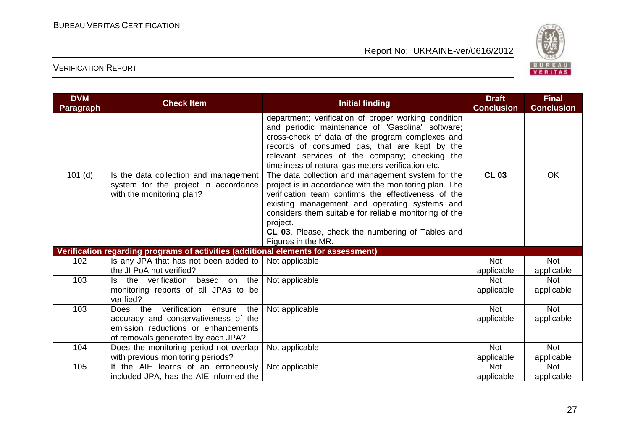

| <b>DVM</b><br><b>Paragraph</b> | <b>Check Item</b>                                                                                                                                        | <b>Initial finding</b>                                                                                                                                                                                                                                                                                                                                              | <b>Draft</b><br><b>Conclusion</b> | <b>Final</b><br><b>Conclusion</b> |
|--------------------------------|----------------------------------------------------------------------------------------------------------------------------------------------------------|---------------------------------------------------------------------------------------------------------------------------------------------------------------------------------------------------------------------------------------------------------------------------------------------------------------------------------------------------------------------|-----------------------------------|-----------------------------------|
|                                |                                                                                                                                                          | department; verification of proper working condition<br>and periodic maintenance of "Gasolina" software;<br>cross-check of data of the program complexes and<br>records of consumed gas, that are kept by the<br>relevant services of the company; checking the<br>timeliness of natural gas meters verification etc.                                               |                                   |                                   |
| $101$ (d)                      | Is the data collection and management<br>system for the project in accordance<br>with the monitoring plan?                                               | The data collection and management system for the<br>project is in accordance with the monitoring plan. The<br>verification team confirms the effectiveness of the<br>existing management and operating systems and<br>considers them suitable for reliable monitoring of the<br>project.<br>CL 03. Please, check the numbering of Tables and<br>Figures in the MR. | <b>CL 03</b>                      | <b>OK</b>                         |
|                                | Verification regarding programs of activities (additional elements for assessment)                                                                       |                                                                                                                                                                                                                                                                                                                                                                     |                                   |                                   |
| 102                            | Is any JPA that has not been added to<br>the JI PoA not verified?                                                                                        | Not applicable                                                                                                                                                                                                                                                                                                                                                      | <b>Not</b><br>applicable          | <b>Not</b><br>applicable          |
| 103                            | verification<br>the<br>based on the<br>ls.<br>monitoring reports of all JPAs to be<br>verified?                                                          | Not applicable                                                                                                                                                                                                                                                                                                                                                      | <b>Not</b><br>applicable          | <b>Not</b><br>applicable          |
| 103                            | Does the verification ensure<br>the<br>accuracy and conservativeness of the<br>emission reductions or enhancements<br>of removals generated by each JPA? | Not applicable                                                                                                                                                                                                                                                                                                                                                      | <b>Not</b><br>applicable          | <b>Not</b><br>applicable          |
| 104                            | Does the monitoring period not overlap<br>with previous monitoring periods?                                                                              | Not applicable                                                                                                                                                                                                                                                                                                                                                      | <b>Not</b><br>applicable          | <b>Not</b><br>applicable          |
| 105                            | If the AIE learns of an erroneously<br>included JPA, has the AIE informed the                                                                            | Not applicable                                                                                                                                                                                                                                                                                                                                                      | <b>Not</b><br>applicable          | <b>Not</b><br>applicable          |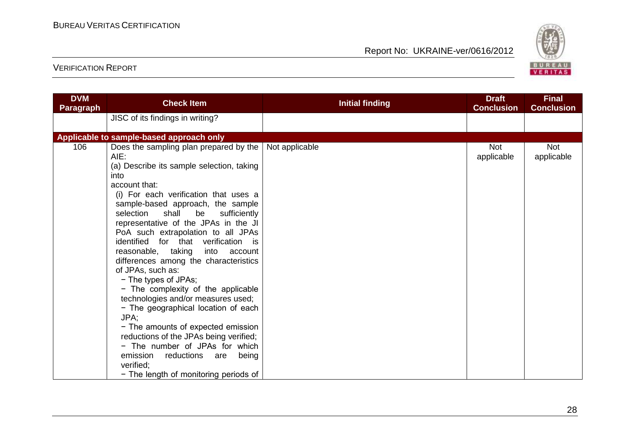

| <b>DVM</b><br><b>Paragraph</b> | <b>Check Item</b>                                                                                                                                                                                                                                                                                                                                                                                                                                                                                                                                                                                                                                                                                                                                                                                | <b>Initial finding</b> | <b>Draft</b><br><b>Conclusion</b> | <b>Final</b><br><b>Conclusion</b> |
|--------------------------------|--------------------------------------------------------------------------------------------------------------------------------------------------------------------------------------------------------------------------------------------------------------------------------------------------------------------------------------------------------------------------------------------------------------------------------------------------------------------------------------------------------------------------------------------------------------------------------------------------------------------------------------------------------------------------------------------------------------------------------------------------------------------------------------------------|------------------------|-----------------------------------|-----------------------------------|
|                                | JISC of its findings in writing?                                                                                                                                                                                                                                                                                                                                                                                                                                                                                                                                                                                                                                                                                                                                                                 |                        |                                   |                                   |
|                                | Applicable to sample-based approach only                                                                                                                                                                                                                                                                                                                                                                                                                                                                                                                                                                                                                                                                                                                                                         |                        |                                   |                                   |
| 106                            | Does the sampling plan prepared by the<br>AIE:<br>(a) Describe its sample selection, taking<br>into<br>account that:<br>(i) For each verification that uses a<br>sample-based approach, the sample<br>shall<br>selection<br>be<br>sufficiently<br>representative of the JPAs in the JI<br>PoA such extrapolation to all JPAs<br>identified for that verification is<br>reasonable, taking into account<br>differences among the characteristics<br>of JPAs, such as:<br>- The types of JPAs;<br>- The complexity of the applicable<br>technologies and/or measures used;<br>- The geographical location of each<br>JPA:<br>- The amounts of expected emission<br>reductions of the JPAs being verified;<br>- The number of JPAs for which<br>emission<br>reductions<br>being<br>are<br>verified: | Not applicable         | <b>Not</b><br>applicable          | <b>Not</b><br>applicable          |
|                                | - The length of monitoring periods of                                                                                                                                                                                                                                                                                                                                                                                                                                                                                                                                                                                                                                                                                                                                                            |                        |                                   |                                   |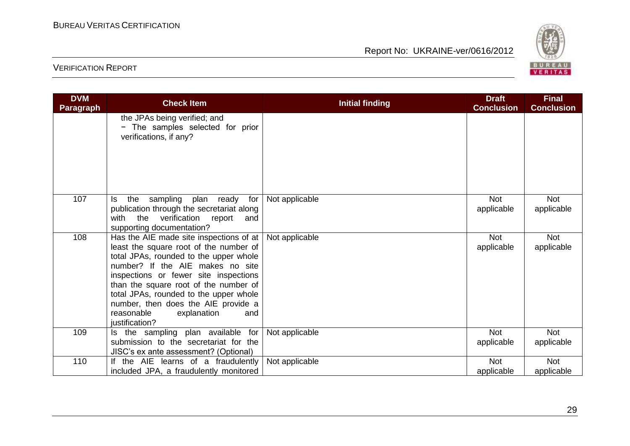

| <b>DVM</b><br><b>Paragraph</b> | <b>Check Item</b>                                                                                                                                                                                                                                                                                                                                                                        | <b>Initial finding</b> | <b>Draft</b><br><b>Conclusion</b> | <b>Final</b><br><b>Conclusion</b> |
|--------------------------------|------------------------------------------------------------------------------------------------------------------------------------------------------------------------------------------------------------------------------------------------------------------------------------------------------------------------------------------------------------------------------------------|------------------------|-----------------------------------|-----------------------------------|
|                                | the JPAs being verified; and<br>- The samples selected for prior<br>verifications, if any?                                                                                                                                                                                                                                                                                               |                        |                                   |                                   |
| 107                            | sampling<br>plan ready<br>the<br>for<br>ls.<br>publication through the secretariat along<br>with the verification report<br>and<br>supporting documentation?                                                                                                                                                                                                                             | Not applicable         | <b>Not</b><br>applicable          | <b>Not</b><br>applicable          |
| 108                            | Has the AIE made site inspections of at<br>least the square root of the number of<br>total JPAs, rounded to the upper whole<br>number? If the AIE makes no site<br>inspections or fewer site inspections<br>than the square root of the number of<br>total JPAs, rounded to the upper whole<br>number, then does the AIE provide a<br>reasonable<br>explanation<br>and<br>justification? | Not applicable         | <b>Not</b><br>applicable          | <b>Not</b><br>applicable          |
| 109                            | Is the sampling plan available for<br>submission to the secretariat for the<br>JISC's ex ante assessment? (Optional)                                                                                                                                                                                                                                                                     | Not applicable         | <b>Not</b><br>applicable          | <b>Not</b><br>applicable          |
| 110                            | If the AIE learns of a fraudulently<br>included JPA, a fraudulently monitored                                                                                                                                                                                                                                                                                                            | Not applicable         | <b>Not</b><br>applicable          | <b>Not</b><br>applicable          |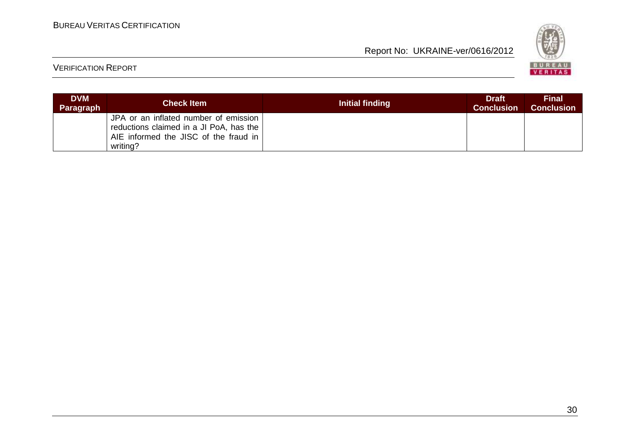

| <b>DVM</b><br><b>Paragraph</b> | <b>Check Item</b>                                                                                                                     | <b>Initial finding</b> | <b>Draft</b><br><b>Conclusion</b> | <b>Final</b><br><b>Conclusion</b> |
|--------------------------------|---------------------------------------------------------------------------------------------------------------------------------------|------------------------|-----------------------------------|-----------------------------------|
|                                | JPA or an inflated number of emission<br>reductions claimed in a JI PoA, has the<br>AIE informed the JISC of the fraud in<br>writing? |                        |                                   |                                   |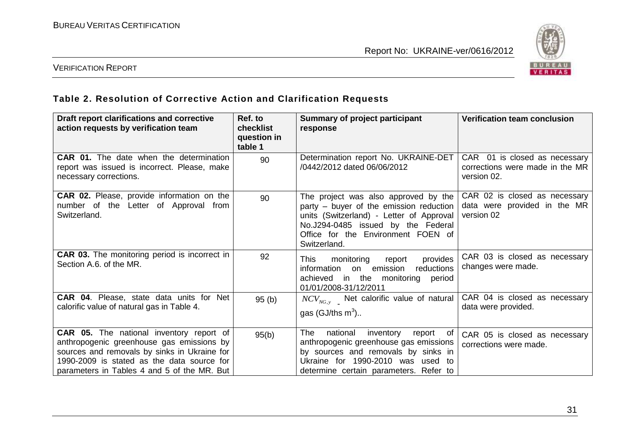

### VERIFICATION REPORT

#### **Table 2. Resolution of Corrective Action and Clarification Requests**

| Draft report clarifications and corrective<br>action requests by verification team                                                                                                                                                 | Ref. to<br>checklist<br>question in<br>table 1 | <b>Summary of project participant</b><br>response                                                                                                                                                                       | <b>Verification team conclusion</b>                                             |
|------------------------------------------------------------------------------------------------------------------------------------------------------------------------------------------------------------------------------------|------------------------------------------------|-------------------------------------------------------------------------------------------------------------------------------------------------------------------------------------------------------------------------|---------------------------------------------------------------------------------|
| <b>CAR 01.</b> The date when the determination<br>report was issued is incorrect. Please, make<br>necessary corrections.                                                                                                           | 90                                             | Determination report No. UKRAINE-DET<br>/0442/2012 dated 06/06/2012                                                                                                                                                     | CAR 01 is closed as necessary<br>corrections were made in the MR<br>version 02. |
| <b>CAR 02.</b> Please, provide information on the<br>number of the Letter of Approval from<br>Switzerland.                                                                                                                         | 90                                             | The project was also approved by the<br>party – buyer of the emission reduction<br>units (Switzerland) - Letter of Approval<br>No.J294-0485 issued by the Federal<br>Office for the Environment FOEN of<br>Switzerland. | CAR 02 is closed as necessary<br>data were provided in the MR<br>version 02     |
| <b>CAR 03.</b> The monitoring period is incorrect in<br>Section A.6. of the MR.                                                                                                                                                    | 92                                             | monitoring<br>provides<br>This<br>report<br>information<br>on emission<br>reductions<br>achieved in the monitoring period<br>01/01/2008-31/12/2011                                                                      | CAR 03 is closed as necessary<br>changes were made.                             |
| <b>CAR 04.</b> Please, state data units for Net<br>calorific value of natural gas in Table 4.                                                                                                                                      | 95(b)                                          | $NCV_{NG, y}$ Net calorific value of natural<br>gas (GJ/ths $m^3$ )                                                                                                                                                     | CAR 04 is closed as necessary<br>data were provided.                            |
| CAR 05. The national inventory report of<br>anthropogenic greenhouse gas emissions by<br>sources and removals by sinks in Ukraine for<br>1990-2009 is stated as the data source for<br>parameters in Tables 4 and 5 of the MR. But | 95(b)                                          | <b>The</b><br>national<br>inventory<br>report of<br>anthropogenic greenhouse gas emissions<br>by sources and removals by sinks in<br>Ukraine for 1990-2010 was used to<br>determine certain parameters. Refer to        | CAR 05 is closed as necessary<br>corrections were made.                         |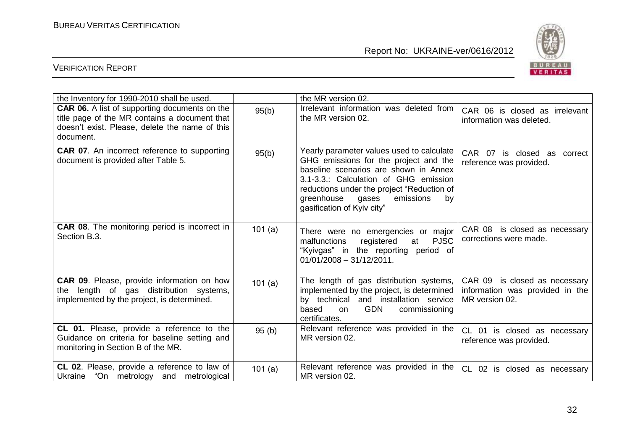

| the Inventory for 1990-2010 shall be used.                                                                                                                           |           | the MR version 02.                                                                                                                                                                                                                                                                      |                                                                                    |
|----------------------------------------------------------------------------------------------------------------------------------------------------------------------|-----------|-----------------------------------------------------------------------------------------------------------------------------------------------------------------------------------------------------------------------------------------------------------------------------------------|------------------------------------------------------------------------------------|
| <b>CAR 06.</b> A list of supporting documents on the<br>title page of the MR contains a document that<br>doesn't exist. Please, delete the name of this<br>document. | 95(b)     | Irrelevant information was deleted from<br>the MR version 02.                                                                                                                                                                                                                           | CAR 06 is closed as irrelevant<br>information was deleted.                         |
| <b>CAR 07.</b> An incorrect reference to supporting<br>document is provided after Table 5.                                                                           | 95(b)     | Yearly parameter values used to calculate<br>GHG emissions for the project and the<br>baseline scenarios are shown in Annex<br>3.1-3.3.: Calculation of GHG emission<br>reductions under the project "Reduction of<br>greenhouse gases<br>emissions<br>by<br>gasification of Kyiv city" | CAR 07 is closed as correct<br>reference was provided.                             |
| <b>CAR 08.</b> The monitoring period is incorrect in<br>Section B.3.                                                                                                 | 101(a)    | There were no emergencies or major<br><b>PJSC</b><br>registered<br>malfunctions<br>at<br>"Kyivgas" in the reporting period of<br>$01/01/2008 - 31/12/2011.$                                                                                                                             | CAR 08 is closed as necessary<br>corrections were made.                            |
| <b>CAR 09.</b> Please, provide information on how<br>the length of gas distribution systems,<br>implemented by the project, is determined.                           | 101(a)    | The length of gas distribution systems,<br>implemented by the project, is determined<br>by technical and installation service<br><b>GDN</b><br>commissioning<br>based<br>on<br>certificates.                                                                                            | CAR 09 is closed as necessary<br>information was provided in the<br>MR version 02. |
| CL 01. Please, provide a reference to the<br>Guidance on criteria for baseline setting and<br>monitoring in Section B of the MR.                                     | 95(b)     | Relevant reference was provided in the<br>MR version 02.                                                                                                                                                                                                                                | CL 01 is closed as necessary<br>reference was provided.                            |
| CL 02. Please, provide a reference to law of<br>"On metrology and metrological<br>Ukraine                                                                            | 101 $(a)$ | Relevant reference was provided in the<br>MR version 02.                                                                                                                                                                                                                                | CL 02 is closed as necessary                                                       |